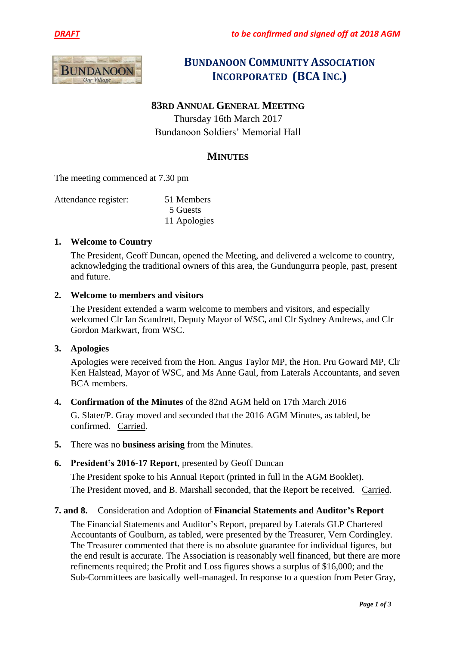



# **BUNDANOON COMMUNITY ASSOCIATION INCORPORATED (BCA INC.)**

# **83RD ANNUAL GENERAL MEETING**

Thursday 16th March 2017 Bundanoon Soldiers' Memorial Hall

# **MINUTES**

The meeting commenced at 7.30 pm

| Attendance register: | 51 Members   |
|----------------------|--------------|
|                      | 5 Guests     |
|                      | 11 Apologies |

#### **1. Welcome to Country**

The President, Geoff Duncan, opened the Meeting, and delivered a welcome to country, acknowledging the traditional owners of this area, the Gundungurra people, past, present and future.

#### **2. Welcome to members and visitors**

The President extended a warm welcome to members and visitors, and especially welcomed Clr Ian Scandrett, Deputy Mayor of WSC, and Clr Sydney Andrews, and Clr Gordon Markwart, from WSC.

#### **3. Apologies**

Apologies were received from the Hon. Angus Taylor MP, the Hon. Pru Goward MP, Clr Ken Halstead, Mayor of WSC, and Ms Anne Gaul, from Laterals Accountants, and seven BCA members.

#### **4. Confirmation of the Minutes** of the 82nd AGM held on 17th March 2016

G. Slater/P. Gray moved and seconded that the 2016 AGM Minutes, as tabled, be confirmed. Carried.

**5.** There was no **business arising** from the Minutes.

## **6. President's 2016-17 Report**, presented by Geoff Duncan

The President spoke to his Annual Report (printed in full in the AGM Booklet). The President moved, and B. Marshall seconded, that the Report be received. Carried.

## **7. and 8.** Consideration and Adoption of **Financial Statements and Auditor's Report**

The Financial Statements and Auditor's Report, prepared by Laterals GLP Chartered Accountants of Goulburn, as tabled, were presented by the Treasurer, Vern Cordingley. The Treasurer commented that there is no absolute guarantee for individual figures, but the end result is accurate. The Association is reasonably well financed, but there are more refinements required; the Profit and Loss figures shows a surplus of \$16,000; and the Sub-Committees are basically well-managed. In response to a question from Peter Gray,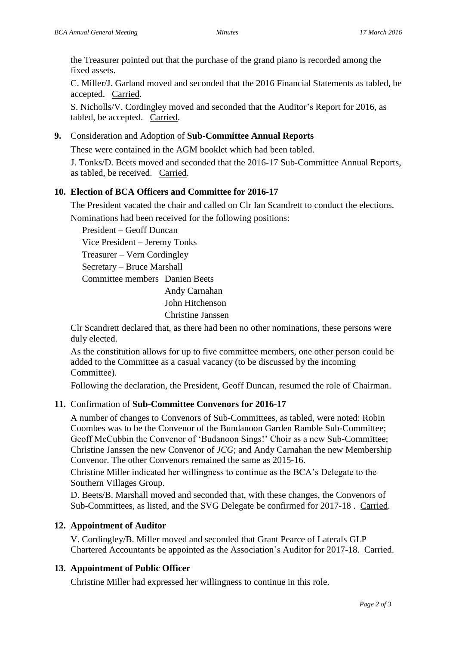the Treasurer pointed out that the purchase of the grand piano is recorded among the fixed assets.

C. Miller/J. Garland moved and seconded that the 2016 Financial Statements as tabled, be accepted. Carried.

S. Nicholls/V. Cordingley moved and seconded that the Auditor's Report for 2016, as tabled, be accepted. Carried.

#### **9.** Consideration and Adoption of **Sub-Committee Annual Reports**

These were contained in the AGM booklet which had been tabled.

J. Tonks/D. Beets moved and seconded that the 2016-17 Sub-Committee Annual Reports, as tabled, be received. Carried.

## **10. Election of BCA Officers and Committee for 2016-17**

The President vacated the chair and called on Clr Ian Scandrett to conduct the elections.

Nominations had been received for the following positions:

President – Geoff Duncan

Vice President – Jeremy Tonks

Treasurer – Vern Cordingley

Secretary – Bruce Marshall

Committee members Danien Beets

Andy Carnahan

John Hitchenson

Christine Janssen

Clr Scandrett declared that, as there had been no other nominations, these persons were duly elected.

As the constitution allows for up to five committee members, one other person could be added to the Committee as a casual vacancy (to be discussed by the incoming Committee).

Following the declaration, the President, Geoff Duncan, resumed the role of Chairman.

## **11.** Confirmation of **Sub-Committee Convenors for 2016-17**

A number of changes to Convenors of Sub-Committees, as tabled, were noted: Robin Coombes was to be the Convenor of the Bundanoon Garden Ramble Sub-Committee; Geoff McCubbin the Convenor of 'Budanoon Sings!' Choir as a new Sub-Committee; Christine Janssen the new Convenor of *JCG*; and Andy Carnahan the new Membership Convenor. The other Convenors remained the same as 2015-16.

Christine Miller indicated her willingness to continue as the BCA's Delegate to the Southern Villages Group.

D. Beets/B. Marshall moved and seconded that, with these changes, the Convenors of Sub-Committees, as listed, and the SVG Delegate be confirmed for 2017-18 . Carried.

## **12. Appointment of Auditor**

V. Cordingley/B. Miller moved and seconded that Grant Pearce of Laterals GLP Chartered Accountants be appointed as the Association's Auditor for 2017-18. Carried.

# **13. Appointment of Public Officer**

Christine Miller had expressed her willingness to continue in this role.